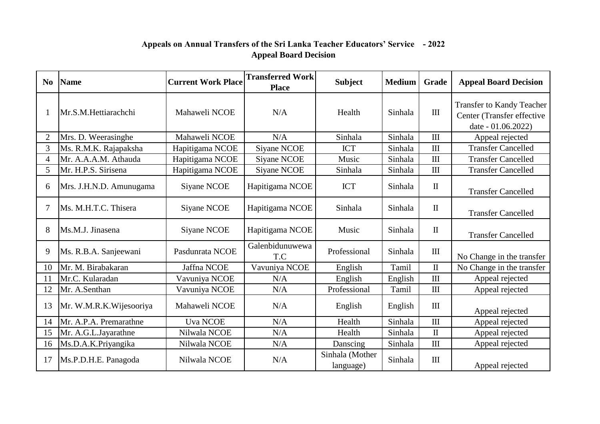## **Appeals on Annual Transfers of the Sri Lanka Teacher Educators' Service - 2022 Appeal Board Decision**

| N <sub>0</sub> | <b>Name</b>             | <b>Current Work Place</b> | <b>Transferred Work</b><br><b>Place</b> | <b>Subject</b>               | <b>Medium</b> | Grade                            | <b>Appeal Board Decision</b>                                                         |
|----------------|-------------------------|---------------------------|-----------------------------------------|------------------------------|---------------|----------------------------------|--------------------------------------------------------------------------------------|
|                | Mr.S.M.Hettiarachchi    | Mahaweli NCOE             | N/A                                     | Health                       | Sinhala       | $\mathop{\rm III}$               | <b>Transfer to Kandy Teacher</b><br>Center (Transfer effective<br>date - 01.06.2022) |
| $\overline{2}$ | Mrs. D. Weerasinghe     | Mahaweli NCOE             | N/A                                     | Sinhala                      | Sinhala       | $\mathbf{I}$                     | Appeal rejected                                                                      |
| 3              | Ms. R.M.K. Rajapaksha   | Hapitigama NCOE           | <b>Siyane NCOE</b>                      | <b>ICT</b>                   | Sinhala       | $\mathop{\rm III}\nolimits$      | <b>Transfer Cancelled</b>                                                            |
| 4              | Mr. A.A.A.M. Athauda    | Hapitigama NCOE           | <b>Siyane NCOE</b>                      | Music                        | Sinhala       | III                              | <b>Transfer Cancelled</b>                                                            |
| 5              | Mr. H.P.S. Sirisena     | Hapitigama NCOE           | Siyane NCOE                             | Sinhala                      | Sinhala       | $\mathbf{I}$                     | <b>Transfer Cancelled</b>                                                            |
| 6              | Mrs. J.H.N.D. Amunugama | Siyane NCOE               | Hapitigama NCOE                         | <b>ICT</b>                   | Sinhala       | $\mathbf{I}$                     | <b>Transfer Cancelled</b>                                                            |
| 7              | Ms. M.H.T.C. Thisera    | Siyane NCOE               | Hapitigama NCOE                         | Sinhala                      | Sinhala       | $\mathbf{I}$                     | <b>Transfer Cancelled</b>                                                            |
| 8              | Ms.M.J. Jinasena        | Siyane NCOE               | Hapitigama NCOE                         | Music                        | Sinhala       | $\mathbf{I}$                     | <b>Transfer Cancelled</b>                                                            |
| 9              | Ms. R.B.A. Sanjeewani   | Pasdunrata NCOE           | Galenbidunuwewa<br>T.C                  | Professional                 | Sinhala       | $\rm III$                        | No Change in the transfer                                                            |
| 10             | Mr. M. Birabakaran      | Jaffna NCOE               | Vavuniya NCOE                           | English                      | Tamil         | $\rm II$                         | No Change in the transfer                                                            |
| 11             | Mr.C. Kularadan         | Vavuniya NCOE             | N/A                                     | English                      | English       | $\mathbf{I}$                     | Appeal rejected                                                                      |
| 12             | Mr. A.Senthan           | Vavuniya NCOE             | N/A                                     | Professional                 | Tamil         | $\mathop{\rm III}\nolimits$      | Appeal rejected                                                                      |
| 13             | Mr. W.M.R.K.Wijesooriya | Mahaweli NCOE             | N/A                                     | English                      | English       | $\mathop{\mathrm{III}}\nolimits$ | Appeal rejected                                                                      |
| 14             | Mr. A.P.A. Premarathne  | <b>Uva NCOE</b>           | N/A                                     | Health                       | Sinhala       | $\mathbf{I}$                     | Appeal rejected                                                                      |
| 15             | Mr. A.G.L.Jayarathne    | Nilwala NCOE              | N/A                                     | Health                       | Sinhala       | $\mathbf{I}$                     | Appeal rejected                                                                      |
| 16             | Ms.D.A.K.Priyangika     | Nilwala NCOE              | N/A                                     | Danscing                     | Sinhala       | III                              | Appeal rejected                                                                      |
| 17             | Ms.P.D.H.E. Panagoda    | Nilwala NCOE              | N/A                                     | Sinhala (Mother<br>language) | Sinhala       | $\rm III$                        | Appeal rejected                                                                      |